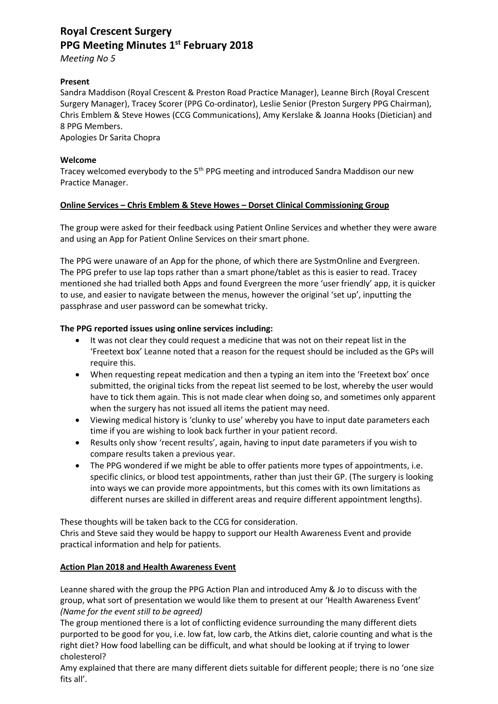# **Royal Crescent Surgery PPG Meeting Minutes 1 st February 2018**

*Meeting No 5*

## **Present**

Sandra Maddison (Royal Crescent & Preston Road Practice Manager), Leanne Birch (Royal Crescent Surgery Manager), Tracey Scorer (PPG Co-ordinator), Leslie Senior (Preston Surgery PPG Chairman), Chris Emblem & Steve Howes (CCG Communications), Amy Kerslake & Joanna Hooks (Dietician) and 8 PPG Members.

Apologies Dr Sarita Chopra

## **Welcome**

Tracey welcomed everybody to the 5<sup>th</sup> PPG meeting and introduced Sandra Maddison our new Practice Manager.

#### **Online Services – Chris Emblem & Steve Howes – Dorset Clinical Commissioning Group**

The group were asked for their feedback using Patient Online Services and whether they were aware and using an App for Patient Online Services on their smart phone.

The PPG were unaware of an App for the phone, of which there are SystmOnline and Evergreen. The PPG prefer to use lap tops rather than a smart phone/tablet as this is easier to read. Tracey mentioned she had trialled both Apps and found Evergreen the more 'user friendly' app, it is quicker to use, and easier to navigate between the menus, however the original 'set up', inputting the passphrase and user password can be somewhat tricky.

## **The PPG reported issues using online services including:**

- It was not clear they could request a medicine that was not on their repeat list in the 'Freetext box' Leanne noted that a reason for the request should be included as the GPs will require this.
- When requesting repeat medication and then a typing an item into the 'Freetext box' once submitted, the original ticks from the repeat list seemed to be lost, whereby the user would have to tick them again. This is not made clear when doing so, and sometimes only apparent when the surgery has not issued all items the patient may need.
- Viewing medical history is 'clunky to use' whereby you have to input date parameters each time if you are wishing to look back further in your patient record.
- Results only show 'recent results', again, having to input date parameters if you wish to compare results taken a previous year.
- The PPG wondered if we might be able to offer patients more types of appointments, i.e. specific clinics, or blood test appointments, rather than just their GP. (The surgery is looking into ways we can provide more appointments, but this comes with its own limitations as different nurses are skilled in different areas and require different appointment lengths).

These thoughts will be taken back to the CCG for consideration.

Chris and Steve said they would be happy to support our Health Awareness Event and provide practical information and help for patients.

#### **Action Plan 2018 and Health Awareness Event**

Leanne shared with the group the PPG Action Plan and introduced Amy & Jo to discuss with the group, what sort of presentation we would like them to present at our 'Health Awareness Event' *(Name for the event still to be agreed)*

The group mentioned there is a lot of conflicting evidence surrounding the many different diets purported to be good for you, i.e. low fat, low carb, the Atkins diet, calorie counting and what is the right diet? How food labelling can be difficult, and what should be looking at if trying to lower cholesterol?

Amy explained that there are many different diets suitable for different people; there is no 'one size fits all'.